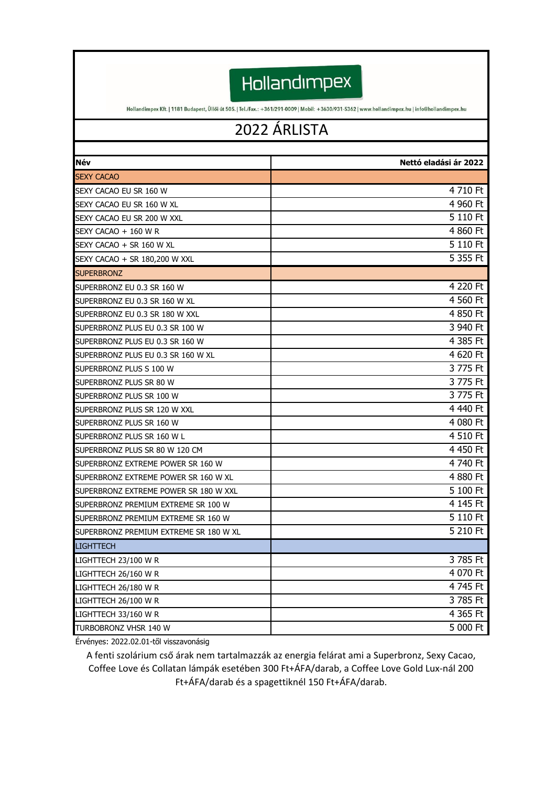Hollandimpex

Hollandimpex Kft. | 1181 Budapest, Üllői út 505. | Tel./Fax.: +361/291-0009 | Mobil: +3630/931-5362 | www.hollandimpex.hu | info@hollandimpex.hu

## 2022 ÁRLISTA

| Név                                    | Nettó eladási ár 2022 |
|----------------------------------------|-----------------------|
| <b>SEXY CACAO</b>                      |                       |
| SEXY CACAO EU SR 160 W                 | 4 710 Ft              |
| SEXY CACAO EU SR 160 W XL              | 4 960 Ft              |
| SEXY CACAO EU SR 200 W XXL             | 5 110 Ft              |
| SEXY CACAO + 160 W R                   | 4 860 Ft              |
| SEXY CACAO + SR 160 W XL               | 5 110 Ft              |
| SEXY CACAO + SR 180,200 W XXL          | 5 355 Ft              |
| <b>SUPERBRONZ</b>                      |                       |
| SUPERBRONZ EU 0.3 SR 160 W             | 4 220 Ft              |
| SUPERBRONZ EU 0.3 SR 160 W XL          | 4 560 Ft              |
| SUPERBRONZ EU 0.3 SR 180 W XXL         | 4 850 Ft              |
| SUPERBRONZ PLUS EU 0.3 SR 100 W        | 3 940 Ft              |
| SUPERBRONZ PLUS EU 0.3 SR 160 W        | 4 385 Ft              |
| SUPERBRONZ PLUS EU 0.3 SR 160 W XL     | 4 620 Ft              |
| SUPERBRONZ PLUS S 100 W                | 3 775 Ft              |
| SUPERBRONZ PLUS SR 80 W                | 3 775 Ft              |
| SUPERBRONZ PLUS SR 100 W               | 3 775 Ft              |
| SUPERBRONZ PLUS SR 120 W XXL           | 4 440 Ft              |
| SUPERBRONZ PLUS SR 160 W               | 4 080 Ft              |
| SUPERBRONZ PLUS SR 160 W L             | 4 510 Ft              |
| SUPERBRONZ PLUS SR 80 W 120 CM         | 4 450 Ft              |
| SUPERBRONZ EXTREME POWER SR 160 W      | 4 740 Ft              |
| SUPERBRONZ EXTREME POWER SR 160 W XL   | 4 880 Ft              |
| SUPERBRONZ EXTREME POWER SR 180 W XXL  | 5 100 Ft              |
| SUPERBRONZ PREMIUM EXTREME SR 100 W    | 4 145 Ft              |
| SUPERBRONZ PREMIUM EXTREME SR 160 W    | 5 110 Ft              |
| SUPERBRONZ PREMIUM EXTREME SR 180 W XL | 5 210 Ft              |
| <b>LIGHTTECH</b>                       |                       |
| LIGHTTECH 23/100 W R                   | 3 785 Ft              |
| LIGHTTECH 26/160 W R                   | 4 070 Ft              |
| LIGHTTECH 26/180 W R                   | 4 745 Ft              |
| LIGHTTECH 26/100 W R                   | 3 785 Ft              |
| LIGHTTECH 33/160 W R                   | 4 365 Ft              |
| TURBOBRONZ VHSR 140 W                  | 5 000 Ft              |

Érvényes: 2022.02.01-től visszavonásig

A fenti szolárium cső árak nem tartalmazzák az energia felárat ami a Superbronz, Sexy Cacao, Coffee Love és Collatan lámpák esetében 300 Ft+ÁFA/darab, a Coffee Love Gold Lux-nál 200 Ft+ÁFA/darab és a spagettiknél 150 Ft+ÁFA/darab.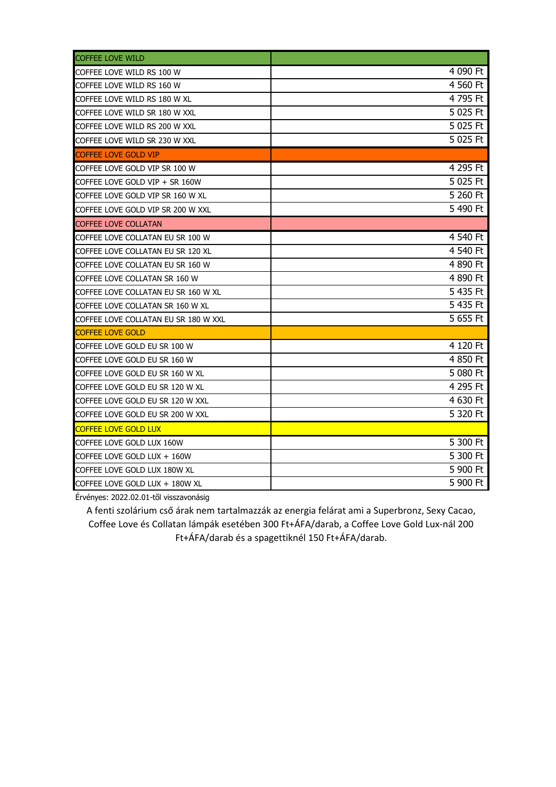| <b>COFFEE LOVE WILD</b>              |          |
|--------------------------------------|----------|
| COFFEE LOVE WILD RS 100 W            | 4 090 Ft |
| COFFEE LOVE WILD RS 160 W            | 4 560 Ft |
| COFFEE LOVE WILD RS 180 W XL         | 4 795 Ft |
| COFFEE LOVE WILD SR 180 W XXL        | 5 025 Ft |
| COFFEE LOVE WILD RS 200 W XXL        | 5 025 Ft |
| COFFEE LOVE WILD SR 230 W XXL        | 5 025 Ft |
| <b>COFFEE LOVE GOLD VIP</b>          |          |
| COFFEE LOVE GOLD VIP SR 100 W        | 4 295 Ft |
| COFFEE LOVE GOLD VIP + SR 160W       | 5 025 Ft |
| COFFEE LOVE GOLD VIP SR 160 W XL     | 5 260 Ft |
| COFFEE LOVE GOLD VIP SR 200 W XXL    | 5 490 Ft |
| <b>COFFEE LOVE COLLATAN</b>          |          |
| COFFEE LOVE COLLATAN EU SR 100 W     | 4 540 Ft |
| COFFEE LOVE COLLATAN EU SR 120 XL    | 4 540 Ft |
| COFFEE LOVE COLLATAN EU SR 160 W     | 4 890 Ft |
| COFFEE LOVE COLLATAN SR 160 W        | 4 890 Ft |
| COFFEE LOVE COLLATAN EU SR 160 W XL  | 5 435 Ft |
| COFFEE LOVE COLLATAN SR 160 W XL     | 5 435 Ft |
| COFFEE LOVE COLLATAN EU SR 180 W XXL | 5 655 Ft |
| <b>COFFEE LOVE GOLD</b>              |          |
| COFFEE LOVE GOLD EU SR 100 W         | 4 120 Ft |
| COFFEE LOVE GOLD EU SR 160 W         | 4 850 Ft |
| COFFEE LOVE GOLD EU SR 160 W XL      | 5 080 Ft |
| COFFEE LOVE GOLD EU SR 120 W XL      | 4 295 Ft |
| COFFEE LOVE GOLD EU SR 120 W XXL     | 4 630 Ft |
| COFFEE LOVE GOLD EU SR 200 W XXL     | 5 320 Ft |
| <b>COFFEE LOVE GOLD LUX</b>          |          |
| COFFEE LOVE GOLD LUX 160W            | 5 300 Ft |
| COFFEE LOVE GOLD LUX $+$ 160W        | 5 300 Ft |
| COFFEE LOVE GOLD LUX 180W XL         | 5 900 Ft |
| COFFEE LOVE GOLD LUX + 180W XL       | 5 900 Ft |

Érvényes: 2022.02.01-től visszavonásig

A fenti szolárium cső árak nem tartalmazzák az energia felárat ami a Superbronz, Sexy Cacao, Coffee Love és Collatan lámpák esetében 300 Ft+ÁFA/darab, a Coffee Love Gold Lux-nál 200 Ft+ÁFA/darab és a spagettiknél 150 Ft+ÁFA/darab.